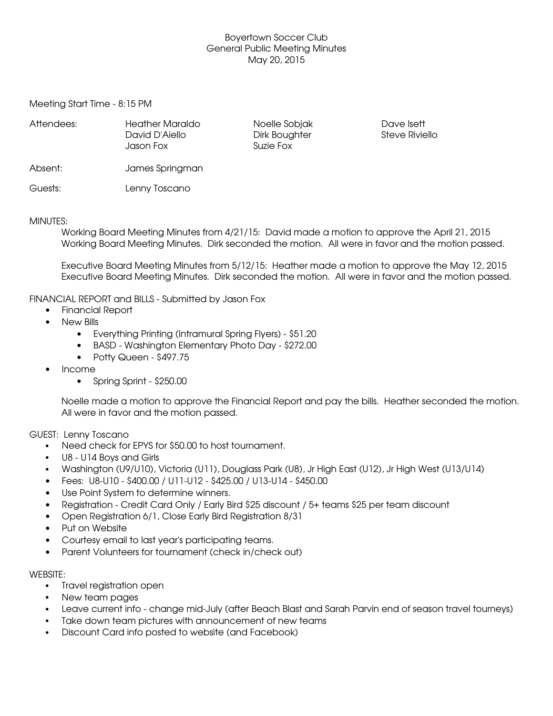# Boyertown Soccer Club General Public Meeting Minutes May 20, 2015

Meeting Start Time - 8:15 PM

| Attendees: | <b>Heather Maraldo</b><br>David D'Aiello<br>Jason Fox | Noelle Sobjak<br>Dirk Boughter<br>Suzie Fox | Dave Isett<br><b>Steve Riviello</b> |
|------------|-------------------------------------------------------|---------------------------------------------|-------------------------------------|
| Absent:    | James Springman                                       |                                             |                                     |
| Guests:    | Lenny Toscano                                         |                                             |                                     |

### MINUTES:

Working Board Meeting Minutes from 4/21/15: David made a motion to approve the April 21, 2015 Working Board Meeting Minutes. Dirk seconded the motion. All were in favor and the motion passed.

Executive Board Meeting Minutes from 5/12/15: Heather made a motion to approve the May 12, 2015 Executive Board Meeting Minutes. Dirk seconded the motion. All were in favor and the motion passed.

## FINANCIAL REPORT and BILLS - Submitted by Jason Fox

- Financial Report
- New Bills
	- Everything Printing (Intramural Spring Flyers) \$51.20
	- BASD Washington Elementary Photo Day \$272.00
	- $\bullet$  Potty Queen \$497.75
- Income
	- $\bullet$  Spring Sprint \$250.00

Noelle made a motion to approve the Financial Report and pay the bills. Heather seconded the motion. All were in favor and the motion passed.

GUEST: Lenny Toscano

- Need check for EPYS for \$50.00 to host tournament.
- U8 U14 Boys and Girls
- Washington (U9/U10), Victoria (U11), Douglass Park (U8), Jr High East (U12), Jr High West (U13/U14)
- Fees: U8-U10 \$400.00 / U11-U12 \$425.00 / U13-U14 \$450.00
- Use Point System to determine winners.
- Registration Credit Card Only / Early Bird \$25 discount / 5+ teams \$25 per team discount
- Open Registration 6/1, Close Early Bird Registration 8/31
- Put on Website
- Courtesy email to last year's participating teams.
- Parent Volunteers for tournament (check in/check out)

## WEBSITE:

- Travel registration open
- New team pages
- Leave current info change mid-July (after Beach Blast and Sarah Parvin end of season travel tourneys)
- Take down team pictures with announcement of new teams
- Discount Card info posted to website (and Facebook)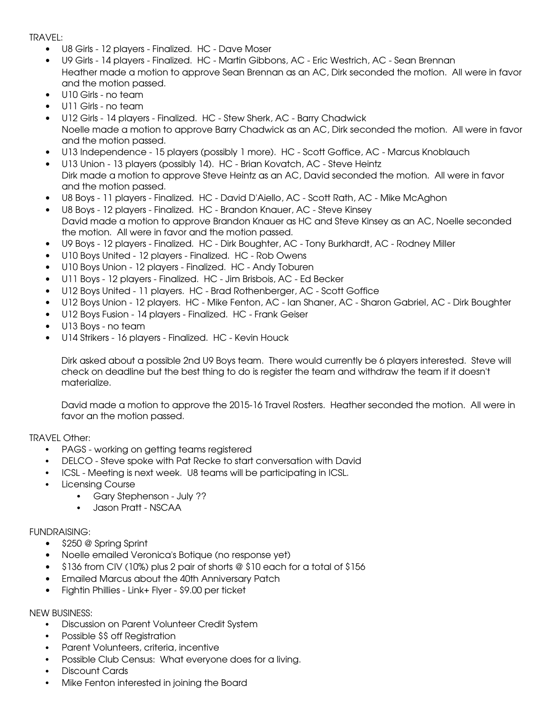TRAVEL:

- U8 Girls 12 players Finalized. HC Dave Moser
- U9 Girls 14 players Finalized. HC Martin Gibbons, AC Eric Westrich, AC Sean Brennan Heather made a motion to approve Sean Brennan as an AC, Dirk seconded the motion. All were in favor and the motion passed.
- U10 Girls no team
- U11 Girls no team
- U12 Girls 14 players Finalized. HC Stew Sherk, AC Barry Chadwick Noelle made a motion to approve Barry Chadwick as an AC, Dirk seconded the motion. All were in favor and the motion passed.
- U13 Independence 15 players (possibly 1 more). HC Scott Goffice, AC Marcus Knoblauch
- U13 Union 13 players (possibly 14). HC Brian Kovatch, AC Steve Heintz Dirk made a motion to approve Steve Heintz as an AC, David seconded the motion. All were in favor and the motion passed.
- U8 Boys 11 players Finalized. HC David D'Aiello, AC Scott Rath, AC Mike McAghon
- U8 Boys 12 players Finalized. HC Brandon Knauer, AC Steve Kinsey David made a motion to approve Brandon Knauer as HC and Steve Kinsey as an AC, Noelle seconded the motion. All were in favor and the motion passed.
- U9 Boys 12 players Finalized. HC Dirk Boughter, AC Tony Burkhardt, AC Rodney Miller
- U10 Boys United 12 players Finalized. HC Rob Owens
- U10 Boys Union 12 players Finalized. HC Andy Toburen
- U11 Boys 12 players Finalized. HC Jim Brisbois, AC Ed Becker
- U12 Boys United 11 players. HC Brad Rothenberger, AC Scott Goffice
- U12 Boys Union 12 players. HC Mike Fenton, AC Ian Shaner, AC Sharon Gabriel, AC Dirk Boughter
- U12 Boys Fusion 14 players Finalized. HC Frank Geiser
- $\bullet$  U13 Boys no team
- U14 Strikers 16 players Finalized. HC Kevin Houck

Dirk asked about a possible 2nd U9 Boys team. There would currently be 6 players interested. Steve will check on deadline but the best thing to do is register the team and withdraw the team if it doesn't materialize.

David made a motion to approve the 2015-16 Travel Rosters. Heather seconded the motion. All were in favor an the motion passed.

TRAVEL Other:

- PAGS working on getting teams registered
- DELCO Steve spoke with Pat Recke to start conversation with David
- ICSL Meeting is next week. U8 teams will be participating in ICSL.
- Licensing Course
	- Gary Stephenson July ??
	- Jason Pratt NSCAA

## FUNDRAISING:

- $\bullet$  \$250 @ Spring Sprint
- Noelle emailed Veronica's Botique (no response yet)
- $\bullet$  \$136 from CIV (10%) plus 2 pair of shorts @ \$10 each for a total of \$156
- Emailed Marcus about the 40th Anniversary Patch
- $\bullet$  Fightin Phillies Link+ Flyer \$9.00 per ticket

## NEW BUSINESS:

- Discussion on Parent Volunteer Credit System
- Possible \$\$ off Registration
- Parent Volunteers, criteria, incentive
- Possible Club Census: What everyone does for a living.
- Discount Cards
- Mike Fenton interested in joining the Board